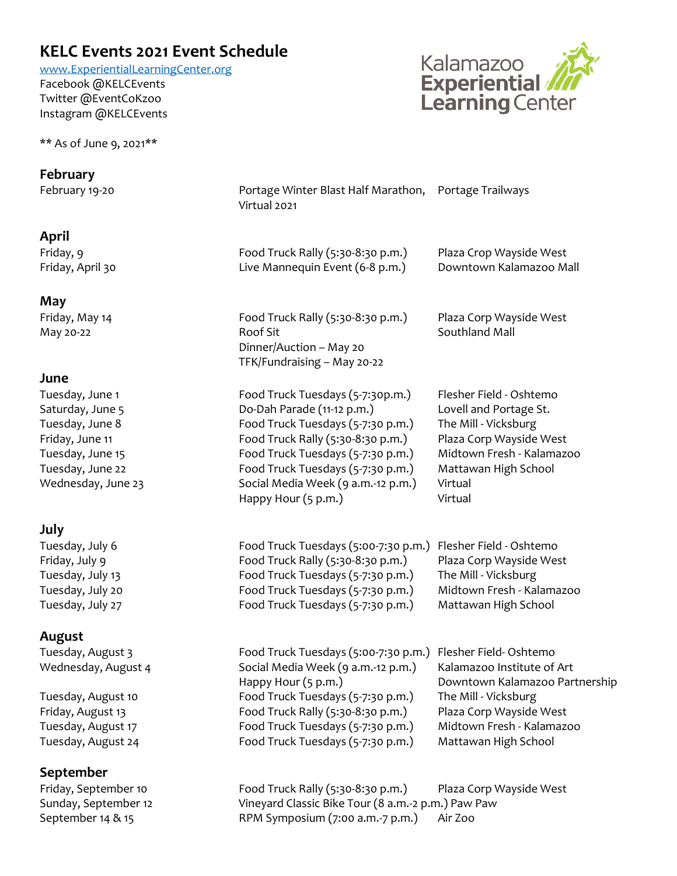## **KELC Events 2021 Event Schedule**

[www.ExperientialLearningCenter.org](http://www.experientiallearningcenter.org/) Facebook @KELCEvents Twitter @EventCoKzoo Instagram @KELCEvents

\*\* As of June 9, 2021\*\*



| February                                                                                                                                |                                                                                                                                                                                                                                                                                 |                                                                                                                                                                                 |
|-----------------------------------------------------------------------------------------------------------------------------------------|---------------------------------------------------------------------------------------------------------------------------------------------------------------------------------------------------------------------------------------------------------------------------------|---------------------------------------------------------------------------------------------------------------------------------------------------------------------------------|
| February 19-20                                                                                                                          | Portage Winter Blast Half Marathon, Portage Trailways<br>Virtual 2021                                                                                                                                                                                                           |                                                                                                                                                                                 |
| April                                                                                                                                   |                                                                                                                                                                                                                                                                                 |                                                                                                                                                                                 |
| Friday, 9<br>Friday, April 30                                                                                                           | Food Truck Rally (5:30-8:30 p.m.)<br>Live Mannequin Event (6-8 p.m.)                                                                                                                                                                                                            | Plaza Crop Wayside West<br>Downtown Kalamazoo Mall                                                                                                                              |
| May                                                                                                                                     |                                                                                                                                                                                                                                                                                 |                                                                                                                                                                                 |
| Friday, May 14<br>May 20-22                                                                                                             | Food Truck Rally (5:30-8:30 p.m.)<br>Roof Sit<br>Dinner/Auction - May 20<br>TFK/Fundraising - May 20-22                                                                                                                                                                         | Plaza Corp Wayside West<br>Southland Mall                                                                                                                                       |
| June                                                                                                                                    |                                                                                                                                                                                                                                                                                 |                                                                                                                                                                                 |
| Tuesday, June 1<br>Saturday, June 5<br>Tuesday, June 8<br>Friday, June 11<br>Tuesday, June 15<br>Tuesday, June 22<br>Wednesday, June 23 | Food Truck Tuesdays (5-7:30p.m.)<br>Do-Dah Parade (11-12 p.m.)<br>Food Truck Tuesdays (5-7:30 p.m.)<br>Food Truck Rally (5:30-8:30 p.m.)<br>Food Truck Tuesdays (5-7:30 p.m.)<br>Food Truck Tuesdays (5-7:30 p.m.)<br>Social Media Week (9 a.m.-12 p.m.)<br>Happy Hour (5 p.m.) | Flesher Field - Oshtemo<br>Lovell and Portage St.<br>The Mill - Vicksburg<br>Plaza Corp Wayside West<br>Midtown Fresh - Kalamazoo<br>Mattawan High School<br>Virtual<br>Virtual |
| July                                                                                                                                    |                                                                                                                                                                                                                                                                                 |                                                                                                                                                                                 |
| Tuesday, July 6<br>Friday, July 9<br>Tuesday, July 13<br>Tuesday, July 20<br>Tuesday, July 27                                           | Food Truck Tuesdays (5:00-7:30 p.m.)<br>Food Truck Rally (5:30-8:30 p.m.)<br>Food Truck Tuesdays (5-7:30 p.m.)<br>Food Truck Tuesdays (5-7:30 p.m.)<br>Food Truck Tuesdays (5-7:30 p.m.)                                                                                        | Flesher Field - Oshtemo<br>Plaza Corp Wayside West<br>The Mill - Vicksburg<br>Midtown Fresh - Kalamazoo<br>Mattawan High School                                                 |
| August                                                                                                                                  |                                                                                                                                                                                                                                                                                 |                                                                                                                                                                                 |
| Tuesday, August 3<br>Wednesday, August 4                                                                                                | Food Truck Tuesdays (5:00-7:30 p.m.) Flesher Field-Oshtemo<br>Social Media Week (9 a.m.-12 p.m.)<br>Happy Hour (5 p.m.)                                                                                                                                                         | Kalamazoo Institute of Art<br>Downtown Kalamazoo Partnership                                                                                                                    |
| Tuesday, August 10                                                                                                                      | Food Truck Tuesdays (5-7:30 p.m.)                                                                                                                                                                                                                                               | The Mill - Vicksburg                                                                                                                                                            |
| Friday, August 13                                                                                                                       | Food Truck Rally (5:30-8:30 p.m.)                                                                                                                                                                                                                                               | Plaza Corp Wayside West                                                                                                                                                         |
| Tuesday, August 17<br>Tuesday, August 24                                                                                                | Food Truck Tuesdays (5-7:30 p.m.)<br>Food Truck Tuesdays (5-7:30 p.m.)                                                                                                                                                                                                          | Midtown Fresh - Kalamazoo<br>Mattawan High School                                                                                                                               |
| September                                                                                                                               |                                                                                                                                                                                                                                                                                 |                                                                                                                                                                                 |
| Friday, September 10<br>Sunday, September 12<br>September 14 & 15                                                                       | Food Truck Rally (5:30-8:30 p.m.)<br>Vineyard Classic Bike Tour (8 a.m.-2 p.m.) Paw Paw<br>RPM Symposium (7:00 a.m.-7 p.m.)                                                                                                                                                     | Plaza Corp Wayside West<br>Air Zoo                                                                                                                                              |